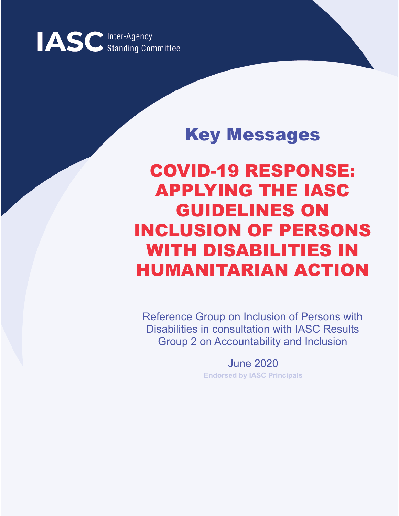

# Key Messages

COVID-19 RESPONSE: APPLYING THE IASC GUIDELINES ON INCLUSION OF PERSONS WITH DISABILITIES IN HUMANITARIAN ACTION

Reference Group on Inclusion of Persons with Disabilities in consultation with IASC Results Group 2 on Accountability and Inclusion

> June 2020 **Endorsed by IASC Principals**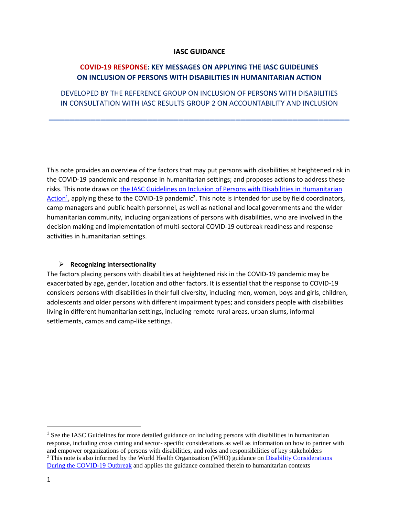#### **IASC GUIDANCE**

# **COVID-19 RESPONSE: KEY MESSAGES ON APPLYING THE IASC GUIDELINES ON INCLUSION OF PERSONS WITH DISABILITIES IN HUMANITARIAN ACTION**

DEVELOPED BY THE REFERENCE GROUP ON INCLUSION OF PERSONS WITH DISABILITIES IN CONSULTATION WITH IASC RESULTS GROUP 2 ON ACCOUNTABILITY AND INCLUSION

**\_\_\_\_\_\_\_\_\_\_\_\_\_\_\_\_\_\_\_\_\_\_\_\_\_\_\_\_\_\_\_\_\_\_\_\_\_\_\_\_\_\_\_\_\_\_\_\_\_\_\_\_\_\_\_\_\_\_**

This note provides an overview of the factors that may put persons with disabilities at heightened risk in the COVID-19 pandemic and response in humanitarian settings; and proposes actions to address these risks. This note draws o[n the IASC Guidelines on Inclusion of Persons with Disabilities in Humanitarian](https://interagencystandingcommittee.org/iasc-task-team-inclusion-persons-disabilities-humanitarian-action/documents/iasc-guidelines)  [Action](https://interagencystandingcommittee.org/iasc-task-team-inclusion-persons-disabilities-humanitarian-action/documents/iasc-guidelines)<sup>1</sup>, applying these to the COVID-19 pandemic<sup>2</sup>. This note is intended for use by field coordinators, camp managers and public health personnel, as well as national and local governments and the wider humanitarian community, including organizations of persons with disabilities, who are involved in the decision making and implementation of multi-sectoral COVID-19 outbreak readiness and response activities in humanitarian settings.

#### ➢ **Recognizing intersectionality**

The factors placing persons with disabilities at heightened risk in the COVID-19 pandemic may be exacerbated by age, gender, location and other factors. It is essential that the response to COVID-19 considers persons with disabilities in their full diversity, including men, women, boys and girls, children, adolescents and older persons with different impairment types; and considers people with disabilities living in different humanitarian settings, including remote rural areas, urban slums, informal settlements, camps and camp-like settings.

 $\overline{a}$ 

<sup>&</sup>lt;sup>1</sup> See the IASC Guidelines for more detailed guidance on including persons with disabilities in humanitarian response, including cross cutting and sector- specific considerations as well as information on how to partner with and empower organizations of persons with disabilities, and roles and responsibilities of key stakeholders <sup>2</sup> This note is also informed by the World Health Organization (WHO) guidance on Disability Considerations [During the COVID-19 Outbreak](https://www.who.int/who-documents-detail/disability-considerations-during-the-covid-19-outbreak) and applies the guidance contained therein to humanitarian contexts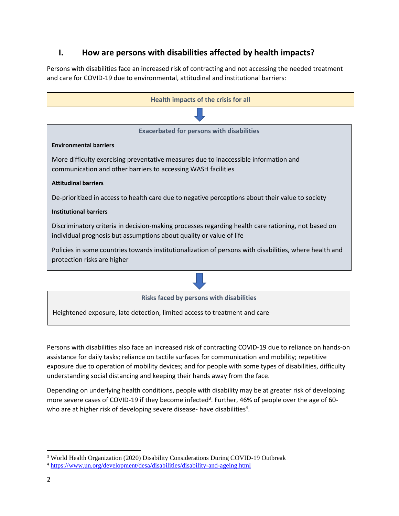# **I. How are persons with disabilities affected by health impacts?**

Persons with disabilities face an increased risk of contracting and not accessing the needed treatment and care for COVID-19 due to environmental, attitudinal and institutional barriers:



Persons with disabilities also face an increased risk of contracting COVID-19 due to reliance on hands-on assistance for daily tasks; reliance on tactile surfaces for communication and mobility; repetitive exposure due to operation of mobility devices; and for people with some types of disabilities, difficulty understanding social distancing and keeping their hands away from the face.

Depending on underlying health conditions, people with disability may be at greater risk of developing more severe cases of COVID-19 if they become infected<sup>3</sup>. Further, 46% of people over the age of 60who are at higher risk of developing severe disease- have disabilities<sup>4</sup>.

 $\overline{a}$ 

<sup>3</sup> World Health Organization (2020) Disability Considerations During COVID-19 Outbreak

<sup>4</sup> <https://www.un.org/development/desa/disabilities/disability-and-ageing.html>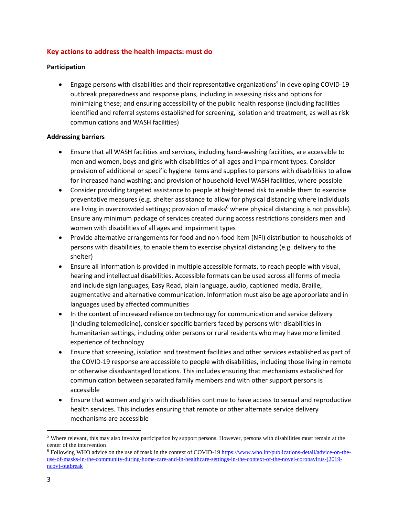# **Key actions to address the health impacts: must do**

#### **Participation**

• Engage persons with disabilities and their representative organizations<sup>5</sup> in developing COVID-19 outbreak preparedness and response plans, including in assessing risks and options for minimizing these; and ensuring accessibility of the public health response (including facilities identified and referral systems established for screening, isolation and treatment, as well as risk communications and WASH facilities)

#### **Addressing barriers**

- Ensure that all WASH facilities and services, including hand-washing facilities, are accessible to men and women, boys and girls with disabilities of all ages and impairment types. Consider provision of additional or specific hygiene items and supplies to persons with disabilities to allow for increased hand washing; and provision of household-level WASH facilities, where possible
- Consider providing targeted assistance to people at heightened risk to enable them to exercise preventative measures (e.g. shelter assistance to allow for physical distancing where individuals are living in overcrowded settings; provision of masks<sup>6</sup> where physical distancing is not possible). Ensure any minimum package of services created during access restrictions considers men and women with disabilities of all ages and impairment types
- Provide alternative arrangements for food and non-food item (NFI) distribution to households of persons with disabilities, to enable them to exercise physical distancing (e.g. delivery to the shelter)
- Ensure all information is provided in multiple accessible formats, to reach people with visual, hearing and intellectual disabilities. Accessible formats can be used across all forms of media and include sign languages, Easy Read, plain language, audio, captioned media, Braille, augmentative and alternative communication. Information must also be age appropriate and in languages used by affected communities
- In the context of increased reliance on technology for communication and service delivery (including telemedicine), consider specific barriers faced by persons with disabilities in humanitarian settings, including older persons or rural residents who may have more limited experience of technology
- Ensure that screening, isolation and treatment facilities and other services established as part of the COVID-19 response are accessible to people with disabilities, including those living in remote or otherwise disadvantaged locations. This includes ensuring that mechanisms established for communication between separated family members and with other support persons is accessible
- Ensure that women and girls with disabilities continue to have access to sexual and reproductive health services. This includes ensuring that remote or other alternate service delivery mechanisms are accessible

 $\overline{\phantom{a}}$ 

<sup>&</sup>lt;sup>5</sup> Where relevant, this may also involve participation by support persons. However, persons with disabilities must remain at the center of the intervention

<sup>6</sup> Following WHO advice on the use of mask in the context of COVID-1[9 https://www.who.int/publications-detail/advice-on-the](https://www.who.int/publications-detail/advice-on-the-use-of-masks-in-the-community-during-home-care-and-in-healthcare-settings-in-the-context-of-the-novel-coronavirus-(2019-ncov)-outbreak)[use-of-masks-in-the-community-during-home-care-and-in-healthcare-settings-in-the-context-of-the-novel-coronavirus-\(2019](https://www.who.int/publications-detail/advice-on-the-use-of-masks-in-the-community-during-home-care-and-in-healthcare-settings-in-the-context-of-the-novel-coronavirus-(2019-ncov)-outbreak) [ncov\)-outbreak](https://www.who.int/publications-detail/advice-on-the-use-of-masks-in-the-community-during-home-care-and-in-healthcare-settings-in-the-context-of-the-novel-coronavirus-(2019-ncov)-outbreak)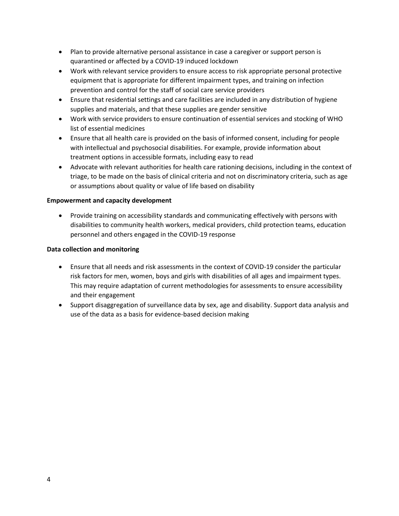- Plan to provide alternative personal assistance in case a caregiver or support person is quarantined or affected by a COVID-19 induced lockdown
- Work with relevant service providers to ensure access to risk appropriate personal protective equipment that is appropriate for different impairment types, and training on infection prevention and control for the staff of social care service providers
- Ensure that residential settings and care facilities are included in any distribution of hygiene supplies and materials, and that these supplies are gender sensitive
- Work with service providers to ensure continuation of essential services and stocking of WHO list of essential medicines
- Ensure that all health care is provided on the basis of informed consent, including for people with intellectual and psychosocial disabilities. For example, provide information about treatment options in accessible formats, including easy to read
- Advocate with relevant authorities for health care rationing decisions, including in the context of triage, to be made on the basis of clinical criteria and not on discriminatory criteria, such as age or assumptions about quality or value of life based on disability

## **Empowerment and capacity development**

• Provide training on accessibility standards and communicating effectively with persons with disabilities to community health workers, medical providers, child protection teams, education personnel and others engaged in the COVID-19 response

## **Data collection and monitoring**

- Ensure that all needs and risk assessments in the context of COVID-19 consider the particular risk factors for men, women, boys and girls with disabilities of all ages and impairment types. This may require adaptation of current methodologies for assessments to ensure accessibility and their engagement
- Support disaggregation of surveillance data by sex, age and disability. Support data analysis and use of the data as a basis for evidence-based decision making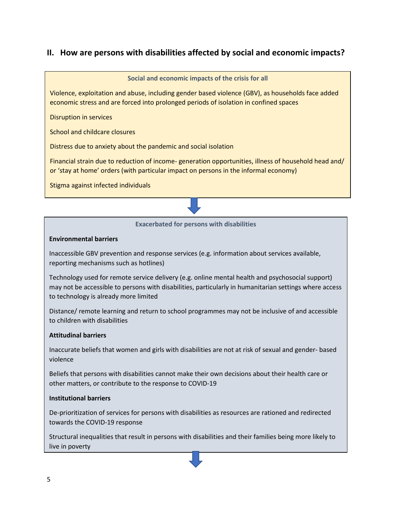# **II. How are persons with disabilities affected by social and economic impacts?**



#### **Environmental barriers**

Inaccessible GBV prevention and response services (e.g. information about services available, reporting mechanisms such as hotlines)

Technology used for remote service delivery (e.g. online mental health and psychosocial support) may not be accessible to persons with disabilities, particularly in humanitarian settings where access to technology is already more limited

Distance/ remote learning and return to school programmes may not be inclusive of and accessible to children with disabilities

#### **Attitudinal barriers**

Inaccurate beliefs that women and girls with disabilities are not at risk of sexual and gender- based violence

Beliefs that persons with disabilities cannot make their own decisions about their health care or other matters, or contribute to the response to COVID-19

#### **Institutional barriers**

De-prioritization of services for persons with disabilities as resources are rationed and redirected towards the COVID-19 response

Structural inequalities that result in persons with disabilities and their families being more likely to live in poverty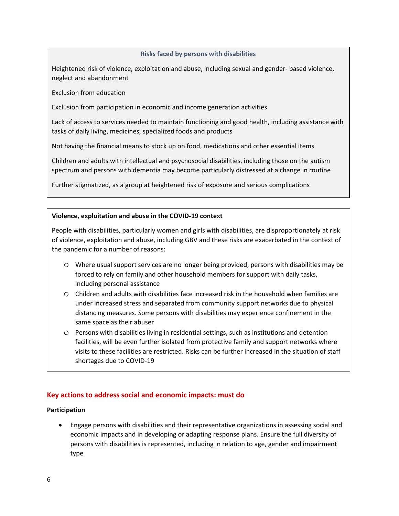#### **Risks faced by persons with disabilities**

Heightened risk of violence, exploitation and abuse, including sexual and gender- based violence, neglect and abandonment

Exclusion from education

Exclusion from participation in economic and income generation activities

Lack of access to services needed to maintain functioning and good health, including assistance with tasks of daily living, medicines, specialized foods and products

Not having the financial means to stock up on food, medications and other essential items

Children and adults with intellectual and psychosocial disabilities, including those on the autism spectrum and persons with dementia may become particularly distressed at a change in routine

Further stigmatized, as a group at heightened risk of exposure and serious complications

#### **Violence, exploitation and abuse in the COVID-19 context**

People with disabilities, particularly women and girls with disabilities, are disproportionately at risk of violence, exploitation and abuse, including GBV and these risks are exacerbated in the context of the pandemic for a number of reasons:

- o Where usual support services are no longer being provided, persons with disabilities may be forced to rely on family and other household members for support with daily tasks, including personal assistance
- $\circ$  Children and adults with disabilities face increased risk in the household when families are under increased stress and separated from community support networks due to physical distancing measures. Some persons with disabilities may experience confinement in the same space as their abuser
- o Persons with disabilities living in residential settings, such as institutions and detention facilities, will be even further isolated from protective family and support networks where visits to these facilities are restricted. Risks can be further increased in the situation of staff shortages due to COVID-19

#### **Key actions to address social and economic impacts: must do**

#### **Participation**

• Engage persons with disabilities and their representative organizations in assessing social and economic impacts and in developing or adapting response plans. Ensure the full diversity of persons with disabilities is represented, including in relation to age, gender and impairment type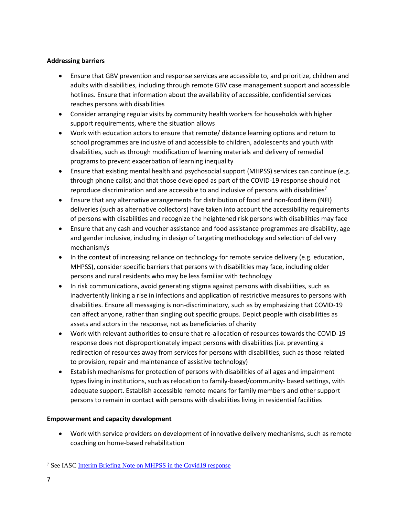# **Addressing barriers**

- Ensure that GBV prevention and response services are accessible to, and prioritize, children and adults with disabilities, including through remote GBV case management support and accessible hotlines. Ensure that information about the availability of accessible, confidential services reaches persons with disabilities
- Consider arranging regular visits by community health workers for households with higher support requirements, where the situation allows
- Work with education actors to ensure that remote/ distance learning options and return to school programmes are inclusive of and accessible to children, adolescents and youth with disabilities, such as through modification of learning materials and delivery of remedial programs to prevent exacerbation of learning inequality
- Ensure that existing mental health and psychosocial support (MHPSS) services can continue (e.g. through phone calls); and that those developed as part of the COVID-19 response should not reproduce discrimination and are accessible to and inclusive of persons with disabilities<sup>7</sup>
- Ensure that any alternative arrangements for distribution of food and non-food item (NFI) deliveries (such as alternative collectors) have taken into account the accessibility requirements of persons with disabilities and recognize the heightened risk persons with disabilities may face
- Ensure that any cash and voucher assistance and food assistance programmes are disability, age and gender inclusive, including in design of targeting methodology and selection of delivery mechanism/s
- In the context of increasing reliance on technology for remote service delivery (e.g. education, MHPSS), consider specific barriers that persons with disabilities may face, including older persons and rural residents who may be less familiar with technology
- In risk communications, avoid generating stigma against persons with disabilities, such as inadvertently linking a rise in infections and application of restrictive measures to persons with disabilities. Ensure all messaging is non-discriminatory, such as by emphasizing that COVID-19 can affect anyone, rather than singling out specific groups. Depict people with disabilities as assets and actors in the response, not as beneficiaries of charity
- Work with relevant authorities to ensure that re-allocation of resources towards the COVID-19 response does not disproportionately impact persons with disabilities (i.e. preventing a redirection of resources away from services for persons with disabilities, such as those related to provision, repair and maintenance of assistive technology)
- Establish mechanisms for protection of persons with disabilities of all ages and impairment types living in institutions, such as relocation to family-based/community- based settings, with adequate support. Establish accessible remote means for family members and other support persons to remain in contact with persons with disabilities living in residential facilities

# **Empowerment and capacity development**

• Work with service providers on development of innovative delivery mechanisms, such as remote coaching on home-based rehabilitation

 $\overline{\phantom{a}}$ <sup>7</sup> See IASC [Interim Briefing Note on MHPSS in the Covid19 response](https://interagencystandingcommittee.org/iasc-reference-group-mental-health-and-psychosocial-support-emergency-settings/interim-briefing)